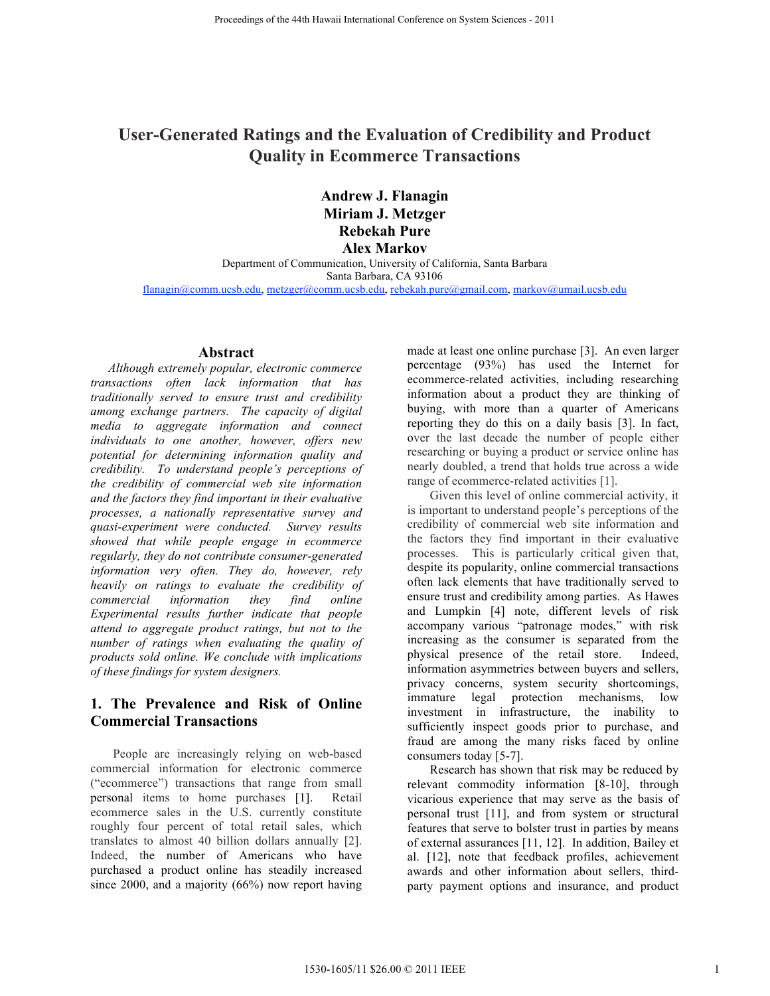# **User-Generated Ratings and the Evaluation of Credibility and Product Quality in Ecommerce Transactions**

**Andrew J. Flanagin Miriam J. Metzger Rebekah Pure Alex Markov**

Department of Communication, University of California, Santa Barbara Santa Barbara, CA 93106 flanagin@comm.ucsb.edu, metzger@comm.ucsb.edu, rebekah.pure@gmail.com, markov@umail.ucsb.edu

#### **Abstract**

*Although extremely popular, electronic commerce transactions often lack information that has traditionally served to ensure trust and credibility among exchange partners. The capacity of digital media to aggregate information and connect individuals to one another, however, offers new potential for determining information quality and credibility. To understand people's perceptions of the credibility of commercial web site information and the factors they find important in their evaluative processes, a nationally representative survey and quasi-experiment were conducted. Survey results showed that while people engage in ecommerce regularly, they do not contribute consumer-generated information very often. They do, however, rely heavily on ratings to evaluate the credibility of commercial information they find online Experimental results further indicate that people attend to aggregate product ratings, but not to the number of ratings when evaluating the quality of products sold online. We conclude with implications of these findings for system designers.*

## **1. The Prevalence and Risk of Online Commercial Transactions**

People are increasingly relying on web-based commercial information for electronic commerce ("ecommerce") transactions that range from small personal items to home purchases [1]. Retail ecommerce sales in the U.S. currently constitute roughly four percent of total retail sales, which translates to almost 40 billion dollars annually [2]. Indeed, the number of Americans who have purchased a product online has steadily increased since 2000, and a majority (66%) now report having

made at least one online purchase [3]. An even larger percentage (93%) has used the Internet for ecommerce-related activities, including researching information about a product they are thinking of buying, with more than a quarter of Americans reporting they do this on a daily basis [3]. In fact, over the last decade the number of people either researching or buying a product or service online has nearly doubled, a trend that holds true across a wide range of ecommerce-related activities [1].

Given this level of online commercial activity, it is important to understand people's perceptions of the credibility of commercial web site information and the factors they find important in their evaluative processes. This is particularly critical given that, despite its popularity, online commercial transactions often lack elements that have traditionally served to ensure trust and credibility among parties. As Hawes and Lumpkin [4] note, different levels of risk accompany various "patronage modes," with risk increasing as the consumer is separated from the physical presence of the retail store. Indeed, information asymmetries between buyers and sellers, privacy concerns, system security shortcomings, immature legal protection mechanisms, low investment in infrastructure, the inability to sufficiently inspect goods prior to purchase, and fraud are among the many risks faced by online consumers today [5-7].

Research has shown that risk may be reduced by relevant commodity information [8-10], through vicarious experience that may serve as the basis of personal trust [11], and from system or structural features that serve to bolster trust in parties by means of external assurances [11, 12]. In addition, Bailey et al. [12], note that feedback profiles, achievement awards and other information about sellers, thirdparty payment options and insurance, and product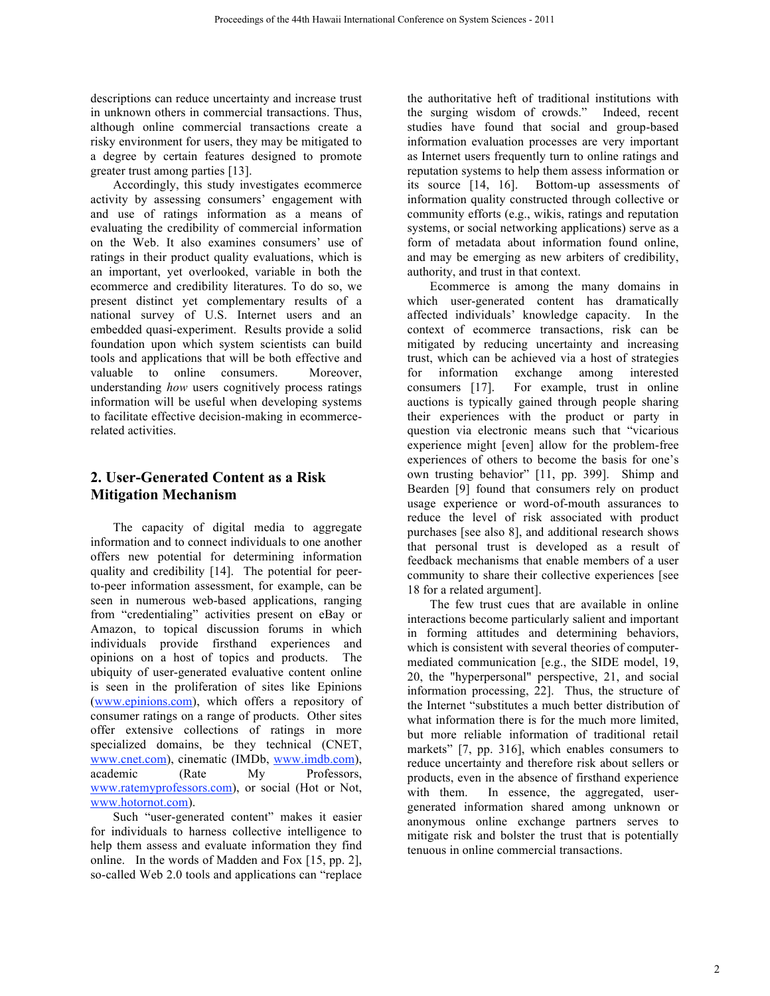descriptions can reduce uncertainty and increase trust in unknown others in commercial transactions. Thus, although online commercial transactions create a risky environment for users, they may be mitigated to a degree by certain features designed to promote greater trust among parties [13].

Accordingly, this study investigates ecommerce activity by assessing consumers' engagement with and use of ratings information as a means of evaluating the credibility of commercial information on the Web. It also examines consumers' use of ratings in their product quality evaluations, which is an important, yet overlooked, variable in both the ecommerce and credibility literatures. To do so, we present distinct yet complementary results of a national survey of U.S. Internet users and an embedded quasi-experiment. Results provide a solid foundation upon which system scientists can build tools and applications that will be both effective and valuable to online consumers. Moreover, understanding *how* users cognitively process ratings information will be useful when developing systems to facilitate effective decision-making in ecommercerelated activities.

## **2. User-Generated Content as a Risk Mitigation Mechanism**

The capacity of digital media to aggregate information and to connect individuals to one another offers new potential for determining information quality and credibility [14]. The potential for peerto-peer information assessment, for example, can be seen in numerous web-based applications, ranging from "credentialing" activities present on eBay or Amazon, to topical discussion forums in which individuals provide firsthand experiences and opinions on a host of topics and products. The ubiquity of user-generated evaluative content online is seen in the proliferation of sites like Epinions (www.epinions.com), which offers a repository of consumer ratings on a range of products. Other sites offer extensive collections of ratings in more specialized domains, be they technical (CNET, www.cnet.com), cinematic (IMDb, www.imdb.com), academic (Rate My Professors, www.ratemyprofessors.com), or social (Hot or Not, www.hotornot.com).

Such "user-generated content" makes it easier for individuals to harness collective intelligence to help them assess and evaluate information they find online. In the words of Madden and Fox [15, pp. 2], so-called Web 2.0 tools and applications can "replace the authoritative heft of traditional institutions with the surging wisdom of crowds." Indeed, recent studies have found that social and group-based information evaluation processes are very important as Internet users frequently turn to online ratings and reputation systems to help them assess information or its source [14, 16]. Bottom-up assessments of information quality constructed through collective or community efforts (e.g., wikis, ratings and reputation systems, or social networking applications) serve as a form of metadata about information found online, and may be emerging as new arbiters of credibility, authority, and trust in that context.

Ecommerce is among the many domains in which user-generated content has dramatically affected individuals' knowledge capacity. In the context of ecommerce transactions, risk can be mitigated by reducing uncertainty and increasing trust, which can be achieved via a host of strategies for information exchange among interested consumers [17]. For example, trust in online auctions is typically gained through people sharing their experiences with the product or party in question via electronic means such that "vicarious experience might [even] allow for the problem-free experiences of others to become the basis for one's own trusting behavior" [11, pp. 399]. Shimp and Bearden [9] found that consumers rely on product usage experience or word-of-mouth assurances to reduce the level of risk associated with product purchases [see also 8], and additional research shows that personal trust is developed as a result of feedback mechanisms that enable members of a user community to share their collective experiences [see 18 for a related argument].

The few trust cues that are available in online interactions become particularly salient and important in forming attitudes and determining behaviors, which is consistent with several theories of computermediated communication [e.g., the SIDE model, 19, 20, the "hyperpersonal" perspective, 21, and social information processing, 22]. Thus, the structure of the Internet "substitutes a much better distribution of what information there is for the much more limited, but more reliable information of traditional retail markets" [7, pp. 316], which enables consumers to reduce uncertainty and therefore risk about sellers or products, even in the absence of firsthand experience with them. In essence, the aggregated, usergenerated information shared among unknown or anonymous online exchange partners serves to mitigate risk and bolster the trust that is potentially tenuous in online commercial transactions.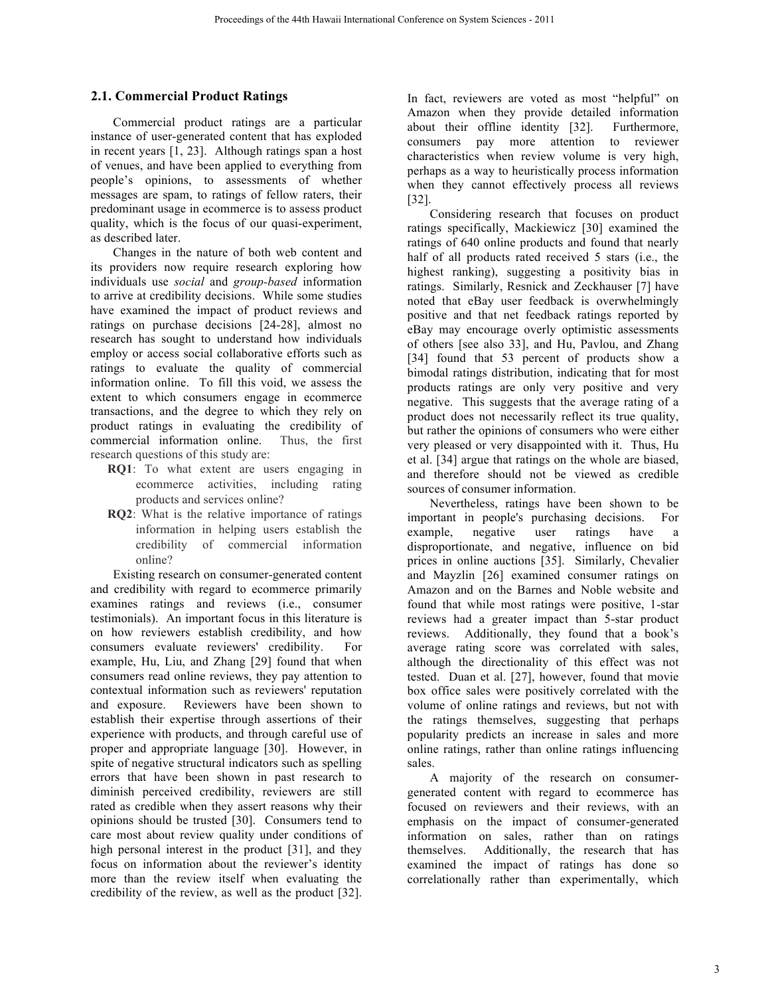### **2.1. Commercial Product Ratings**

Commercial product ratings are a particular instance of user-generated content that has exploded in recent years [1, 23]. Although ratings span a host of venues, and have been applied to everything from people's opinions, to assessments of whether messages are spam, to ratings of fellow raters, their predominant usage in ecommerce is to assess product quality, which is the focus of our quasi-experiment, as described later.

Changes in the nature of both web content and its providers now require research exploring how individuals use *social* and *group-based* information to arrive at credibility decisions. While some studies have examined the impact of product reviews and ratings on purchase decisions [24-28], almost no research has sought to understand how individuals employ or access social collaborative efforts such as ratings to evaluate the quality of commercial information online. To fill this void, we assess the extent to which consumers engage in ecommerce transactions, and the degree to which they rely on product ratings in evaluating the credibility of commercial information online. Thus, the first research questions of this study are:

- **RQ1**: To what extent are users engaging in ecommerce activities, including rating products and services online?
- **RQ2**: What is the relative importance of ratings information in helping users establish the credibility of commercial information online?

Existing research on consumer-generated content and credibility with regard to ecommerce primarily examines ratings and reviews (i.e., consumer testimonials). An important focus in this literature is on how reviewers establish credibility, and how consumers evaluate reviewers' credibility. For example, Hu, Liu, and Zhang [29] found that when consumers read online reviews, they pay attention to contextual information such as reviewers' reputation and exposure. Reviewers have been shown to establish their expertise through assertions of their experience with products, and through careful use of proper and appropriate language [30]. However, in spite of negative structural indicators such as spelling errors that have been shown in past research to diminish perceived credibility, reviewers are still rated as credible when they assert reasons why their opinions should be trusted [30]. Consumers tend to care most about review quality under conditions of high personal interest in the product [31], and they focus on information about the reviewer's identity more than the review itself when evaluating the credibility of the review, as well as the product [32].

In fact, reviewers are voted as most "helpful" on Amazon when they provide detailed information about their offline identity [32]. Furthermore, consumers pay more attention to reviewer characteristics when review volume is very high, perhaps as a way to heuristically process information when they cannot effectively process all reviews [32].

Considering research that focuses on product ratings specifically, Mackiewicz [30] examined the ratings of 640 online products and found that nearly half of all products rated received 5 stars (i.e., the highest ranking), suggesting a positivity bias in ratings. Similarly, Resnick and Zeckhauser [7] have noted that eBay user feedback is overwhelmingly positive and that net feedback ratings reported by eBay may encourage overly optimistic assessments of others [see also 33], and Hu, Pavlou, and Zhang [34] found that 53 percent of products show a bimodal ratings distribution, indicating that for most products ratings are only very positive and very negative. This suggests that the average rating of a product does not necessarily reflect its true quality, but rather the opinions of consumers who were either very pleased or very disappointed with it. Thus, Hu et al. [34] argue that ratings on the whole are biased, and therefore should not be viewed as credible sources of consumer information.

Nevertheless, ratings have been shown to be important in people's purchasing decisions. For example, negative user ratings have a disproportionate, and negative, influence on bid prices in online auctions [35]. Similarly, Chevalier and Mayzlin [26] examined consumer ratings on Amazon and on the Barnes and Noble website and found that while most ratings were positive, 1-star reviews had a greater impact than 5-star product reviews. Additionally, they found that a book's average rating score was correlated with sales, although the directionality of this effect was not tested. Duan et al. [27], however, found that movie box office sales were positively correlated with the volume of online ratings and reviews, but not with the ratings themselves, suggesting that perhaps popularity predicts an increase in sales and more online ratings, rather than online ratings influencing sales.

A majority of the research on consumergenerated content with regard to ecommerce has focused on reviewers and their reviews, with an emphasis on the impact of consumer-generated information on sales, rather than on ratings themselves. Additionally, the research that has examined the impact of ratings has done so correlationally rather than experimentally, which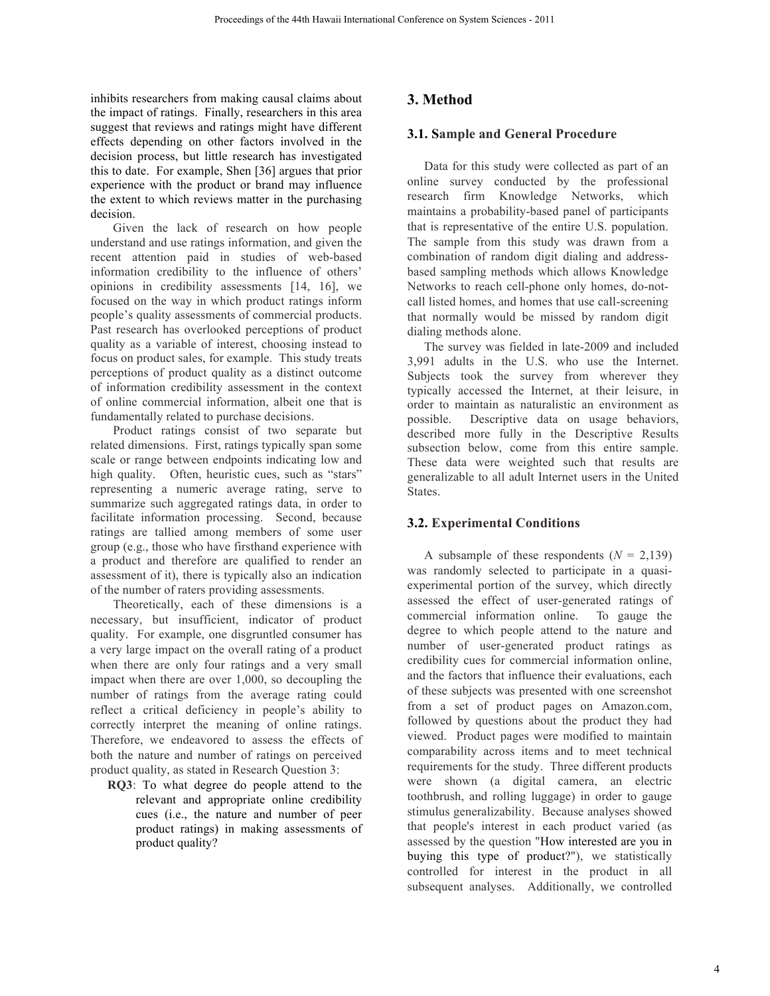inhibits researchers from making causal claims about the impact of ratings. Finally, researchers in this area suggest that reviews and ratings might have different effects depending on other factors involved in the decision process, but little research has investigated this to date. For example, Shen [36] argues that prior experience with the product or brand may influence the extent to which reviews matter in the purchasing decision.

Given the lack of research on how people understand and use ratings information, and given the recent attention paid in studies of web-based information credibility to the influence of others' opinions in credibility assessments [14, 16], we focused on the way in which product ratings inform people's quality assessments of commercial products. Past research has overlooked perceptions of product quality as a variable of interest, choosing instead to focus on product sales, for example. This study treats perceptions of product quality as a distinct outcome of information credibility assessment in the context of online commercial information, albeit one that is fundamentally related to purchase decisions.

Product ratings consist of two separate but related dimensions. First, ratings typically span some scale or range between endpoints indicating low and high quality. Often, heuristic cues, such as "stars" representing a numeric average rating, serve to summarize such aggregated ratings data, in order to facilitate information processing. Second, because ratings are tallied among members of some user group (e.g., those who have firsthand experience with a product and therefore are qualified to render an assessment of it), there is typically also an indication of the number of raters providing assessments.

Theoretically, each of these dimensions is a necessary, but insufficient, indicator of product quality. For example, one disgruntled consumer has a very large impact on the overall rating of a product when there are only four ratings and a very small impact when there are over 1,000, so decoupling the number of ratings from the average rating could reflect a critical deficiency in people's ability to correctly interpret the meaning of online ratings. Therefore, we endeavored to assess the effects of both the nature and number of ratings on perceived product quality, as stated in Research Question 3:

**RQ3**: To what degree do people attend to the relevant and appropriate online credibility cues (i.e., the nature and number of peer product ratings) in making assessments of product quality?

## **3. Method**

#### **3.1. Sample and General Procedure**

Data for this study were collected as part of an online survey conducted by the professional research firm Knowledge Networks, which maintains a probability-based panel of participants that is representative of the entire U.S. population. The sample from this study was drawn from a combination of random digit dialing and addressbased sampling methods which allows Knowledge Networks to reach cell-phone only homes, do-notcall listed homes, and homes that use call-screening that normally would be missed by random digit dialing methods alone.

The survey was fielded in late-2009 and included 3,991 adults in the U.S. who use the Internet. Subjects took the survey from wherever they typically accessed the Internet, at their leisure, in order to maintain as naturalistic an environment as possible. Descriptive data on usage behaviors, described more fully in the Descriptive Results subsection below, come from this entire sample. These data were weighted such that results are generalizable to all adult Internet users in the United States.

## **3.2. Experimental Conditions**

A subsample of these respondents  $(N = 2,139)$ was randomly selected to participate in a quasiexperimental portion of the survey, which directly assessed the effect of user-generated ratings of commercial information online. To gauge the degree to which people attend to the nature and number of user-generated product ratings as credibility cues for commercial information online, and the factors that influence their evaluations, each of these subjects was presented with one screenshot from a set of product pages on Amazon.com, followed by questions about the product they had viewed. Product pages were modified to maintain comparability across items and to meet technical requirements for the study. Three different products were shown (a digital camera, an electric toothbrush, and rolling luggage) in order to gauge stimulus generalizability. Because analyses showed that people's interest in each product varied (as assessed by the question "How interested are you in buying this type of product?"), we statistically controlled for interest in the product in all subsequent analyses. Additionally, we controlled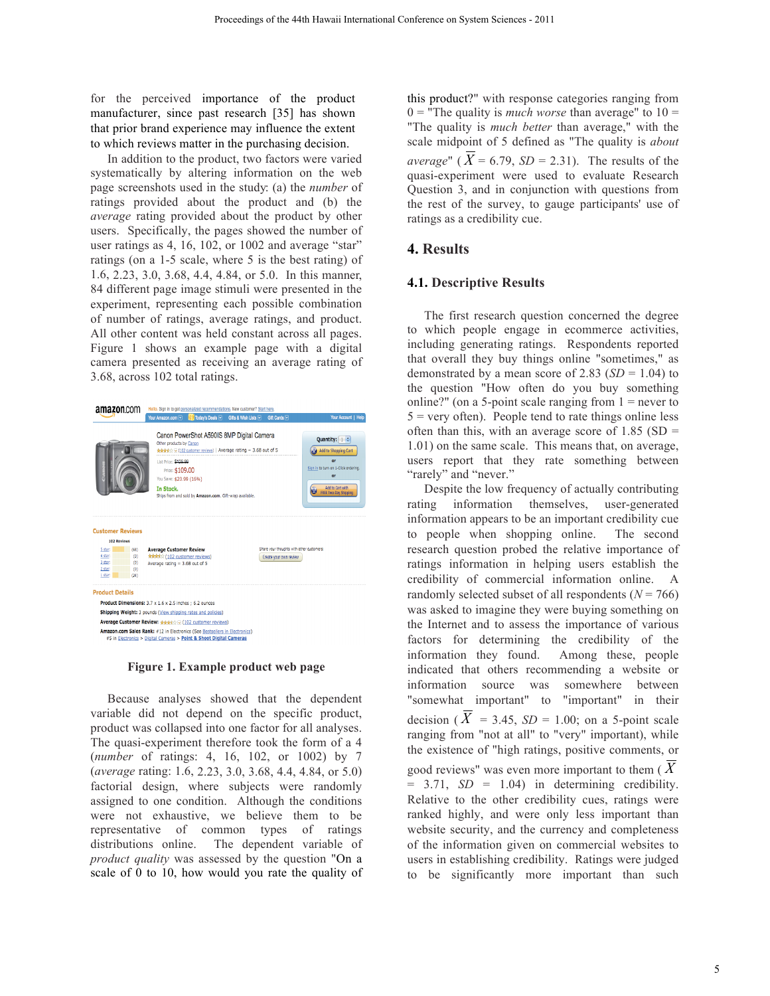for the perceived importance of the product manufacturer, since past research [35] has shown that prior brand experience may influence the extent to which reviews matter in the purchasing decision.

In addition to the product, two factors were varied systematically by altering information on the web page screenshots used in the study: (a) the *number* of ratings provided about the product and (b) the *average* rating provided about the product by other users. Specifically, the pages showed the number of user ratings as 4, 16, 102, or 1002 and average "star" ratings (on a 1-5 scale, where 5 is the best rating) of 1.6, 2.23, 3.0, 3.68, 4.4, 4.84, or 5.0. In this manner, 84 different page image stimuli were presented in the experiment, representing each possible combination of number of ratings, average ratings, and product. All other content was held constant across all pages. Figure 1 shows an example page with a digital camera presented as receiving an average rating of 3.68, across 102 total ratings.



**Figure 1. Example product web page**

Because analyses showed that the dependent variable did not depend on the specific product, product was collapsed into one factor for all analyses. The quasi-experiment therefore took the form of a 4 (*number* of ratings: 4, 16, 102, or 1002) by 7 (*average* rating: 1.6, 2.23, 3.0, 3.68, 4.4, 4.84, or 5.0) factorial design, where subjects were randomly assigned to one condition. Although the conditions were not exhaustive, we believe them to be representative of common types of ratings distributions online. The dependent variable of *product quality* was assessed by the question "On a scale of 0 to 10, how would you rate the quality of this product?" with response categories ranging from  $0 =$  "The quality is *much worse* than average" to  $10 =$ "The quality is *much better* than average," with the scale midpoint of 5 defined as "The quality is *about average*" ( $\overline{X}$  = 6.79, *SD* = 2.31). The results of the quasi-experiment were used to evaluate Research Question 3, and in conjunction with questions from the rest of the survey, to gauge participants' use of ratings as a credibility cue.

### **4. Results**

#### **4.1. Descriptive Results**

The first research question concerned the degree to which people engage in ecommerce activities, including generating ratings. Respondents reported that overall they buy things online "sometimes," as demonstrated by a mean score of  $2.83$  (*SD* = 1.04) to the question "How often do you buy something online?" (on a 5-point scale ranging from  $1 =$  never to  $5 = \text{very often}$ . People tend to rate things online less often than this, with an average score of  $1.85$  (SD = 1.01) on the same scale. This means that, on average, users report that they rate something between "rarely" and "never."

Despite the low frequency of actually contributing rating information themselves, user-generated information appears to be an important credibility cue to people when shopping online. The second research question probed the relative importance of ratings information in helping users establish the credibility of commercial information online. A randomly selected subset of all respondents  $(N = 766)$ was asked to imagine they were buying something on the Internet and to assess the importance of various factors for determining the credibility of the information they found. Among these, people indicated that others recommending a website or information source was somewhere between "somewhat important" to "important" in their decision ( $X = 3.45$ ,  $SD = 1.00$ ; on a 5-point scale ranging from "not at all" to "very" important), while the existence of "high ratings, positive comments, or good reviews" was even more important to them ( *X*  $= 3.71$ ,  $SD = 1.04$ ) in determining credibility. Relative to the other credibility cues, ratings were ranked highly, and were only less important than website security, and the currency and completeness of the information given on commercial websites to users in establishing credibility. Ratings were judged to be significantly more important than such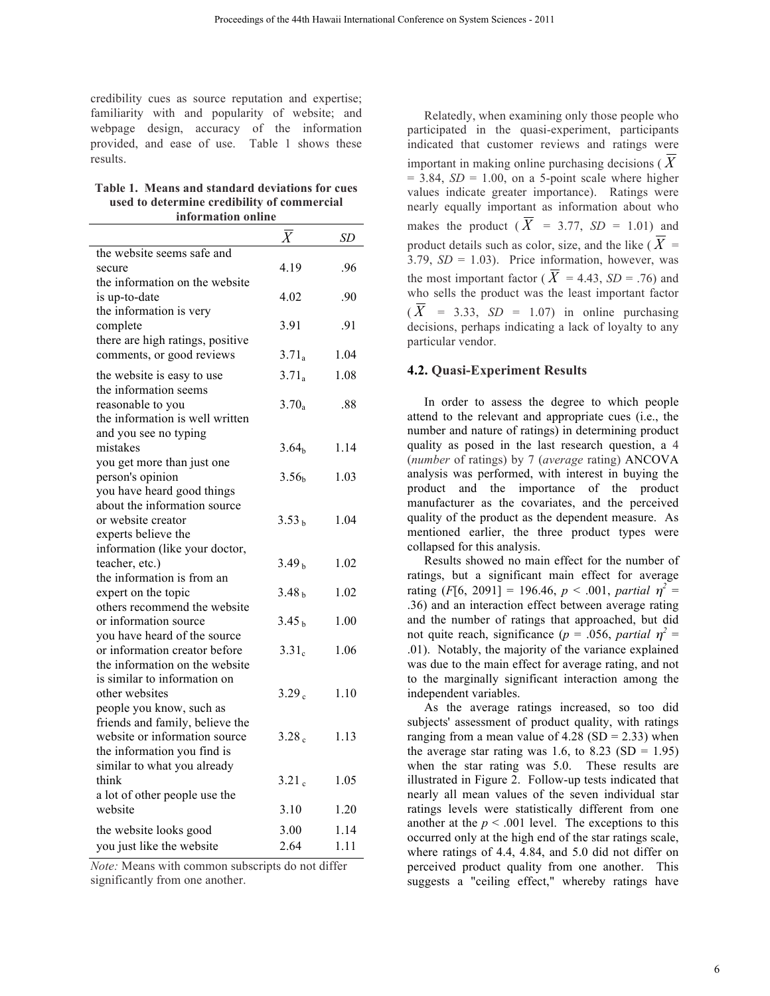credibility cues as source reputation and expertise; familiarity with and popularity of website; and webpage design, accuracy of the information provided, and ease of use. Table 1 shows these results.

**Table 1. Means and standard deviations for cues used to determine credibility of commercial information online**

|                                  | $\overline{\overline{X}}$ | SD   |
|----------------------------------|---------------------------|------|
| the website seems safe and       |                           |      |
| secure                           | 4.19                      | .96  |
| the information on the website   |                           |      |
| is up-to-date                    | 4.02                      | .90  |
| the information is very          |                           |      |
| complete                         | 3.91                      | .91  |
| there are high ratings, positive |                           |      |
| comments, or good reviews        | $3.71_a$                  | 1.04 |
| the website is easy to use       | $3.71_a$                  | 1.08 |
| the information seems            |                           |      |
| reasonable to you                | $3.70_a$                  | .88  |
| the information is well written  |                           |      |
| and you see no typing            |                           |      |
| mistakes                         | 3.64 <sub>b</sub>         | 1.14 |
| you get more than just one       |                           |      |
| person's opinion                 | 3.56 <sub>b</sub>         | 1.03 |
| you have heard good things       |                           |      |
| about the information source     |                           |      |
| or website creator               | 3.53 <sub>h</sub>         | 1.04 |
| experts believe the              |                           |      |
| information (like your doctor,   |                           |      |
| teacher, etc.)                   | 3.49 <sub>b</sub>         | 1.02 |
| the information is from an       |                           |      |
| expert on the topic              | 3.48 <sub>b</sub>         | 1.02 |
| others recommend the website     |                           |      |
| or information source            | 3.45 <sub>b</sub>         | 1.00 |
| you have heard of the source     |                           |      |
| or information creator before    | 3.31 <sub>c</sub>         | 1.06 |
| the information on the website   |                           |      |
| is similar to information on     |                           |      |
| other websites                   | 3.29 <sub>c</sub>         | 1.10 |
| people you know, such as         |                           |      |
| friends and family, believe the  |                           |      |
| website or information source    | 3.28 <sub>c</sub>         | 1.13 |
| the information you find is      |                           |      |
| similar to what you already      |                           |      |
| think                            | 3.21 <sub>c</sub>         | 1.05 |
| a lot of other people use the    |                           |      |
| website                          | 3.10                      | 1.20 |
| the website looks good           | 3.00                      | 1.14 |
| you just like the website        | 2.64                      | 1.11 |

*Note:* Means with common subscripts do not differ significantly from one another.

Relatedly, when examining only those people who participated in the quasi-experiment, participants indicated that customer reviews and ratings were important in making online purchasing decisions ( $\overline{X}$  $= 3.84$ ,  $SD = 1.00$ , on a 5-point scale where higher values indicate greater importance). Ratings were nearly equally important as information about who makes the product  $(\overline{X}) = 3.77$ ,  $SD = 1.01$  and product details such as color, size, and the like ( $\overline{X}$  = 3.79,  $SD = 1.03$ ). Price information, however, was the most important factor ( $\overline{X}$  = 4.43, *SD* = .76) and who sells the product was the least important factor  $(X = 3.33, SD = 1.07)$  in online purchasing decisions, perhaps indicating a lack of loyalty to any particular vendor.

#### **4.2. Quasi-Experiment Results**

In order to assess the degree to which people attend to the relevant and appropriate cues (i.e., the number and nature of ratings) in determining product quality as posed in the last research question, a 4 (*number* of ratings) by 7 (*average* rating) ANCOVA analysis was performed, with interest in buying the product and the importance of the product manufacturer as the covariates, and the perceived quality of the product as the dependent measure. As mentioned earlier, the three product types were collapsed for this analysis.

Results showed no main effect for the number of ratings, but a significant main effect for average rating  $(F[6, 2091] = 196.46, p < .001, partial p^2 =$ .36) and an interaction effect between average rating and the number of ratings that approached, but did not quite reach, significance ( $p = .056$ , *partial*  $\eta^2 =$ .01). Notably, the majority of the variance explained was due to the main effect for average rating, and not to the marginally significant interaction among the independent variables.

As the average ratings increased, so too did subjects' assessment of product quality, with ratings ranging from a mean value of  $4.28$  (SD = 2.33) when the average star rating was 1.6, to 8.23 (SD = 1.95) when the star rating was 5.0. These results are illustrated in Figure 2. Follow-up tests indicated that nearly all mean values of the seven individual star ratings levels were statistically different from one another at the  $p < .001$  level. The exceptions to this occurred only at the high end of the star ratings scale, where ratings of 4.4, 4.84, and 5.0 did not differ on perceived product quality from one another. This suggests a "ceiling effect," whereby ratings have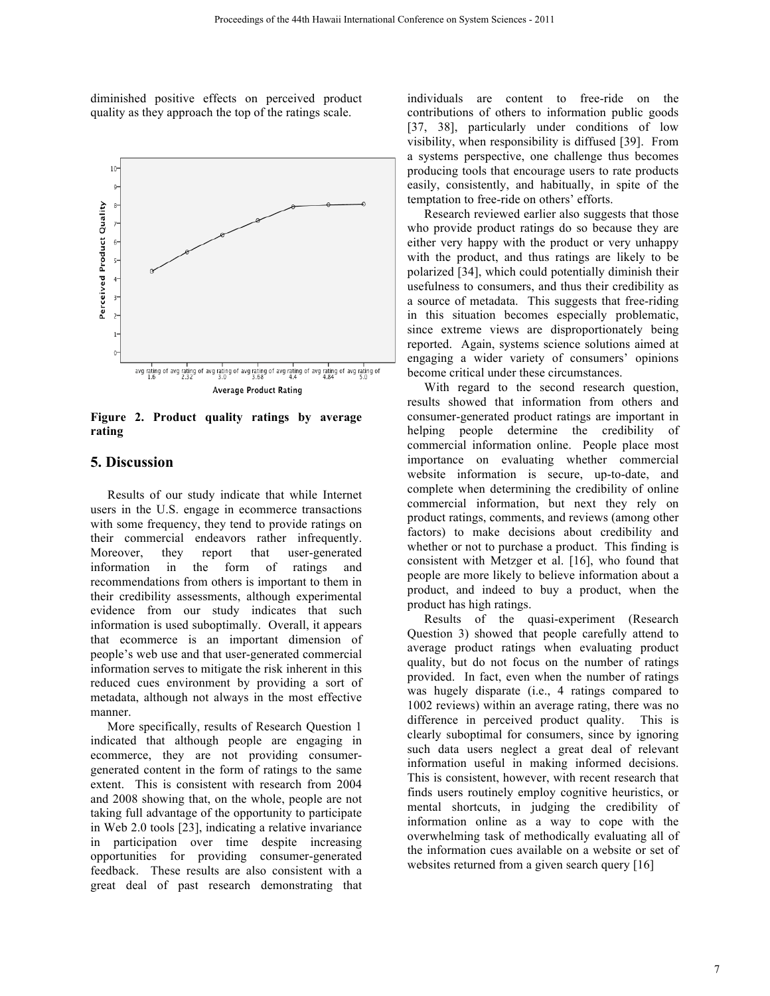diminished positive effects on perceived product quality as they approach the top of the ratings scale.



**Figure 2. Product quality ratings by average rating**

## **5. Discussion**

Results of our study indicate that while Internet users in the U.S. engage in ecommerce transactions with some frequency, they tend to provide ratings on their commercial endeavors rather infrequently.<br>Moreover, they report that user-generated Moreover, they report that user-generated information in the form of ratings and recommendations from others is important to them in their credibility assessments, although experimental evidence from our study indicates that such information is used suboptimally. Overall, it appears that ecommerce is an important dimension of people's web use and that user-generated commercial information serves to mitigate the risk inherent in this reduced cues environment by providing a sort of metadata, although not always in the most effective manner.

More specifically, results of Research Question 1 indicated that although people are engaging in ecommerce, they are not providing consumergenerated content in the form of ratings to the same extent. This is consistent with research from 2004 and 2008 showing that, on the whole, people are not taking full advantage of the opportunity to participate in Web 2.0 tools [23], indicating a relative invariance in participation over time despite increasing opportunities for providing consumer-generated feedback. These results are also consistent with a great deal of past research demonstrating that individuals are content to free-ride on the contributions of others to information public goods [37, 38], particularly under conditions of low visibility, when responsibility is diffused [39]. From a systems perspective, one challenge thus becomes producing tools that encourage users to rate products easily, consistently, and habitually, in spite of the temptation to free-ride on others' efforts.

Research reviewed earlier also suggests that those who provide product ratings do so because they are either very happy with the product or very unhappy with the product, and thus ratings are likely to be polarized [34], which could potentially diminish their usefulness to consumers, and thus their credibility as a source of metadata. This suggests that free-riding in this situation becomes especially problematic, since extreme views are disproportionately being reported. Again, systems science solutions aimed at engaging a wider variety of consumers' opinions become critical under these circumstances.

With regard to the second research question, results showed that information from others and consumer-generated product ratings are important in helping people determine the credibility of commercial information online. People place most importance on evaluating whether commercial website information is secure, up-to-date, and complete when determining the credibility of online commercial information, but next they rely on product ratings, comments, and reviews (among other factors) to make decisions about credibility and whether or not to purchase a product. This finding is consistent with Metzger et al. [16], who found that people are more likely to believe information about a product, and indeed to buy a product, when the product has high ratings.

Results of the quasi-experiment (Research Question 3) showed that people carefully attend to average product ratings when evaluating product quality, but do not focus on the number of ratings provided. In fact, even when the number of ratings was hugely disparate (i.e., 4 ratings compared to 1002 reviews) within an average rating, there was no difference in perceived product quality. This is clearly suboptimal for consumers, since by ignoring such data users neglect a great deal of relevant information useful in making informed decisions. This is consistent, however, with recent research that finds users routinely employ cognitive heuristics, or mental shortcuts, in judging the credibility of information online as a way to cope with the overwhelming task of methodically evaluating all of the information cues available on a website or set of websites returned from a given search query [16]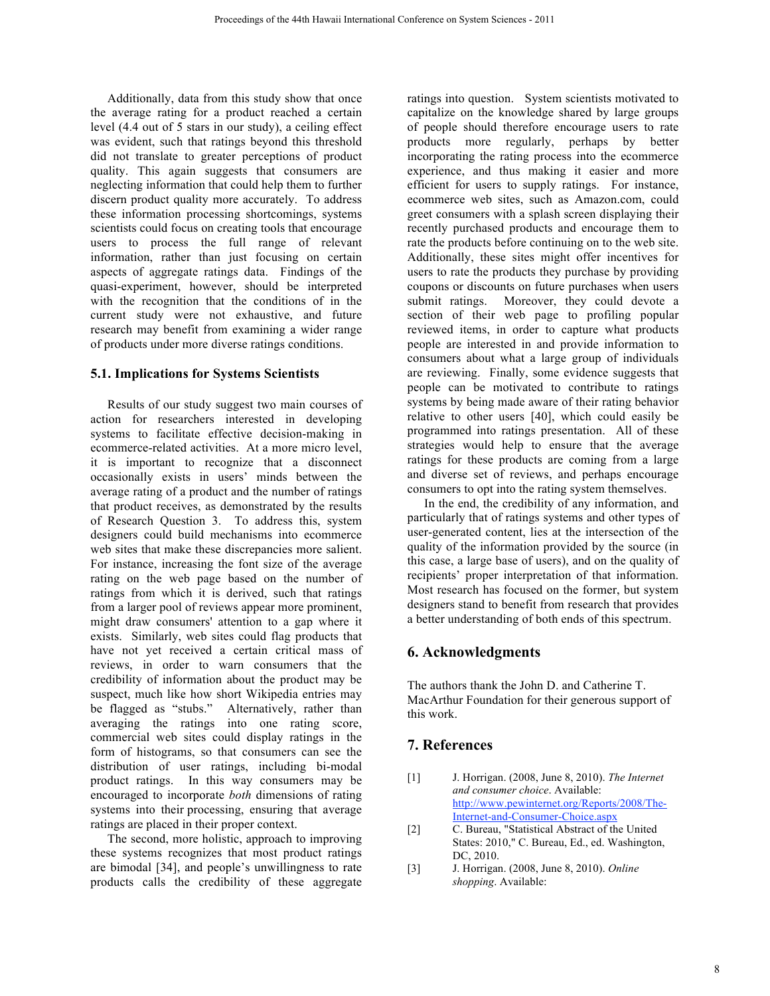Additionally, data from this study show that once the average rating for a product reached a certain level (4.4 out of 5 stars in our study), a ceiling effect was evident, such that ratings beyond this threshold did not translate to greater perceptions of product quality. This again suggests that consumers are neglecting information that could help them to further discern product quality more accurately. To address these information processing shortcomings, systems scientists could focus on creating tools that encourage users to process the full range of relevant information, rather than just focusing on certain aspects of aggregate ratings data. Findings of the quasi-experiment, however, should be interpreted with the recognition that the conditions of in the current study were not exhaustive, and future research may benefit from examining a wider range of products under more diverse ratings conditions.

#### **5.1. Implications for Systems Scientists**

Results of our study suggest two main courses of action for researchers interested in developing systems to facilitate effective decision-making in ecommerce-related activities. At a more micro level, it is important to recognize that a disconnect occasionally exists in users' minds between the average rating of a product and the number of ratings that product receives, as demonstrated by the results of Research Question 3. To address this, system designers could build mechanisms into ecommerce web sites that make these discrepancies more salient. For instance, increasing the font size of the average rating on the web page based on the number of ratings from which it is derived, such that ratings from a larger pool of reviews appear more prominent, might draw consumers' attention to a gap where it exists. Similarly, web sites could flag products that have not yet received a certain critical mass of reviews, in order to warn consumers that the credibility of information about the product may be suspect, much like how short Wikipedia entries may be flagged as "stubs." Alternatively, rather than averaging the ratings into one rating score, commercial web sites could display ratings in the form of histograms, so that consumers can see the distribution of user ratings, including bi-modal product ratings. In this way consumers may be encouraged to incorporate *both* dimensions of rating systems into their processing, ensuring that average ratings are placed in their proper context.

The second, more holistic, approach to improving these systems recognizes that most product ratings are bimodal [34], and people's unwillingness to rate products calls the credibility of these aggregate

ratings into question. System scientists motivated to capitalize on the knowledge shared by large groups of people should therefore encourage users to rate products more regularly, perhaps by better incorporating the rating process into the ecommerce experience, and thus making it easier and more efficient for users to supply ratings. For instance, ecommerce web sites, such as Amazon.com, could greet consumers with a splash screen displaying their recently purchased products and encourage them to rate the products before continuing on to the web site. Additionally, these sites might offer incentives for users to rate the products they purchase by providing coupons or discounts on future purchases when users submit ratings. Moreover, they could devote a section of their web page to profiling popular reviewed items, in order to capture what products people are interested in and provide information to consumers about what a large group of individuals are reviewing. Finally, some evidence suggests that people can be motivated to contribute to ratings systems by being made aware of their rating behavior relative to other users [40], which could easily be programmed into ratings presentation. All of these strategies would help to ensure that the average ratings for these products are coming from a large and diverse set of reviews, and perhaps encourage consumers to opt into the rating system themselves.

In the end, the credibility of any information, and particularly that of ratings systems and other types of user-generated content, lies at the intersection of the quality of the information provided by the source (in this case, a large base of users), and on the quality of recipients' proper interpretation of that information. Most research has focused on the former, but system designers stand to benefit from research that provides a better understanding of both ends of this spectrum.

## **6. Acknowledgments**

The authors thank the John D. and Catherine T. MacArthur Foundation for their generous support of this work.

## **7. References**

- [1] J. Horrigan. (2008, June 8, 2010). *The Internet and consumer choice*. Available: http://www.pewinternet.org/Reports/2008/The-Internet-and-Consumer-Choice.aspx
- [2] C. Bureau, "Statistical Abstract of the United States: 2010," C. Bureau, Ed., ed. Washington, DC, 2010.
- [3] J. Horrigan. (2008, June 8, 2010). *Online shopping*. Available: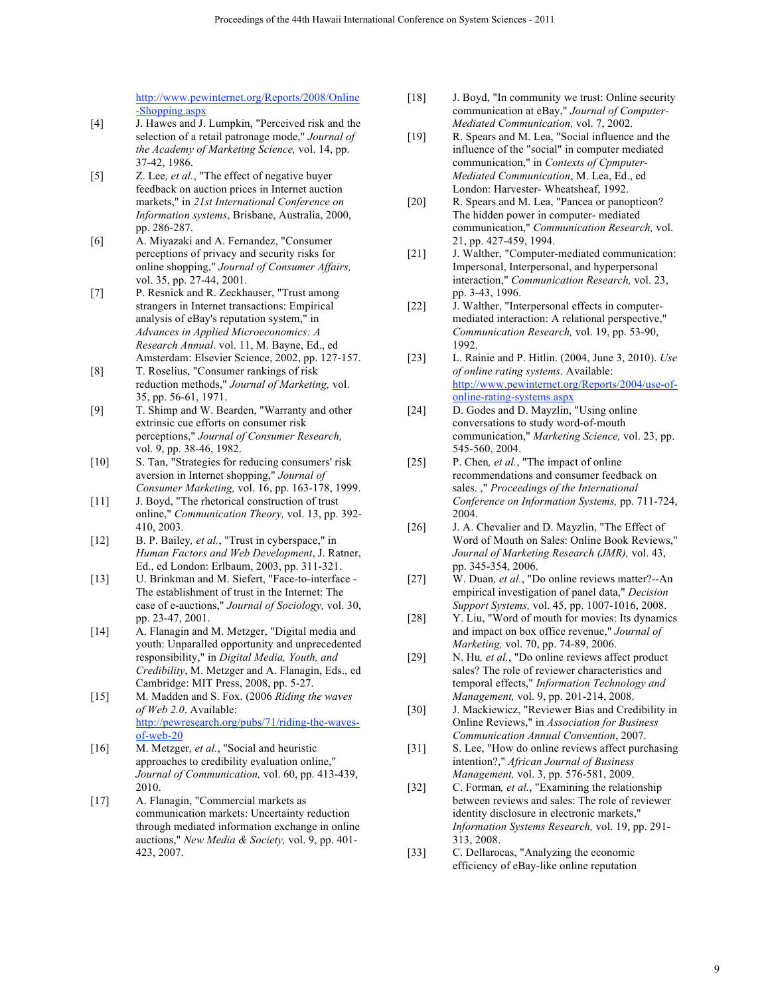http://www.pewinternet.org/Reports/2008/Online -Shopping.aspx

- [4] J. Hawes and J. Lumpkin, "Perceived risk and the selection of a retail patronage mode," *Journal of the Academy of Marketing Science,* vol. 14, pp. 37-42, 1986.
- [5] Z. Lee*, et al.*, "The effect of negative buyer feedback on auction prices in Internet auction markets," in *21st International Conference on Information systems*, Brisbane, Australia, 2000, pp. 286-287.
- [6] A. Miyazaki and A. Fernandez, "Consumer perceptions of privacy and security risks for online shopping," *Journal of Consumer Affairs,*  vol. 35, pp. 27-44, 2001.
- [7] P. Resnick and R. Zeckhauser, "Trust among strangers in Internet transactions: Empirical analysis of eBay's reputation system," in *Advances in Applied Microeconomics: A Research Annual*. vol. 11, M. Bayne, Ed., ed Amsterdam: Elsevier Science, 2002, pp. 127-157.
- [8] T. Roselius, "Consumer rankings of risk reduction methods," *Journal of Marketing,* vol. 35, pp. 56-61, 1971.
- [9] T. Shimp and W. Bearden, "Warranty and other extrinsic cue efforts on consumer risk perceptions," *Journal of Consumer Research,*  vol. 9, pp. 38-46, 1982.
- [10] S. Tan, "Strategies for reducing consumers' risk aversion in Internet shopping," *Journal of Consumer Marketing,* vol. 16, pp. 163-178, 1999.
- [11] J. Boyd, "The rhetorical construction of trust online," *Communication Theory,* vol. 13, pp. 392- 410, 2003.
- [12] B. P. Bailey*, et al.*, "Trust in cyberspace," in *Human Factors and Web Development*, J. Ratner, Ed., ed London: Erlbaum, 2003, pp. 311-321.
- [13] U. Brinkman and M. Siefert, "Face-to-interface -The establishment of trust in the Internet: The case of e-auctions," *Journal of Sociology,* vol. 30, pp. 23-47, 2001.
- [14] A. Flanagin and M. Metzger, "Digital media and youth: Unparalled opportunity and unprecedented responsibility," in *Digital Media, Youth, and Credibility*, M. Metzger and A. Flanagin, Eds., ed Cambridge: MIT Press, 2008, pp. 5-27.
- [15] M. Madden and S. Fox. (2006 *Riding the waves of Web 2.0*. Available: http://pewresearch.org/pubs/71/riding-the-wavesof-web-20
- [16] M. Metzger, et al., "Social and heuristic approaches to credibility evaluation online," *Journal of Communication,* vol. 60, pp. 413-439, 2010.
- [17] A. Flanagin, "Commercial markets as communication markets: Uncertainty reduction through mediated information exchange in online auctions," *New Media & Society,* vol. 9, pp. 401- 423, 2007.
- [18] J. Boyd, "In community we trust: Online security communication at eBay," *Journal of Computer-Mediated Communication,* vol. 7, 2002.
- [19] R. Spears and M. Lea, "Social influence and the influence of the "social" in computer mediated communication," in *Contexts of Cpmputer-Mediated Communication*, M. Lea, Ed., ed London: Harvester- Wheatsheaf, 1992.
- [20] R. Spears and M. Lea, "Pancea or panopticon? The hidden power in computer- mediated communication," *Communication Research,* vol. 21, pp. 427-459, 1994.
- [21] J. Walther, "Computer-mediated communication: Impersonal, Interpersonal, and hyperpersonal interaction," *Communication Research,* vol. 23, pp. 3-43, 1996.
- [22] J. Walther, "Interpersonal effects in computermediated interaction: A relational perspective," *Communication Research,* vol. 19, pp. 53-90, 1992.
- [23] L. Rainie and P. Hitlin. (2004, June 3, 2010). *Use of online rating systems*. Available: http://www.pewinternet.org/Reports/2004/use-ofonline-rating-systems.aspx
- [24] D. Godes and D. Mayzlin, "Using online conversations to study word-of-mouth communication," *Marketing Science,* vol. 23, pp. 545-560, 2004.
- [25] P. Chen*, et al.*, "The impact of online recommendations and consumer feedback on sales. ," *Proceedings of the International Conference on Information Systems,* pp. 711-724, 2004.
- [26] J. A. Chevalier and D. Mayzlin, "The Effect of Word of Mouth on Sales: Online Book Reviews," *Journal of Marketing Research (JMR),* vol. 43, pp. 345-354, 2006.
- [27] W. Duan*, et al.*, "Do online reviews matter?--An empirical investigation of panel data," *Decision Support Systems,* vol. 45, pp. 1007-1016, 2008.
- [28] Y. Liu, "Word of mouth for movies: Its dynamics and impact on box office revenue," *Journal of Marketing,* vol. 70, pp. 74-89, 2006.
- [29] N. Hu*, et al.*, "Do online reviews affect product sales? The role of reviewer characteristics and temporal effects," *Information Technology and Management,* vol. 9, pp. 201-214, 2008.
- [30] J. Mackiewicz, "Reviewer Bias and Credibility in Online Reviews," in *Association for Business Communication Annual Convention*, 2007.
- [31] S. Lee, "How do online reviews affect purchasing intention?," *African Journal of Business Management,* vol. 3, pp. 576-581, 2009.
- [32] C. Forman*, et al.*, "Examining the relationship between reviews and sales: The role of reviewer identity disclosure in electronic markets," *Information Systems Research,* vol. 19, pp. 291- 313, 2008.
- [33] C. Dellarocas, "Analyzing the economic efficiency of eBay-like online reputation